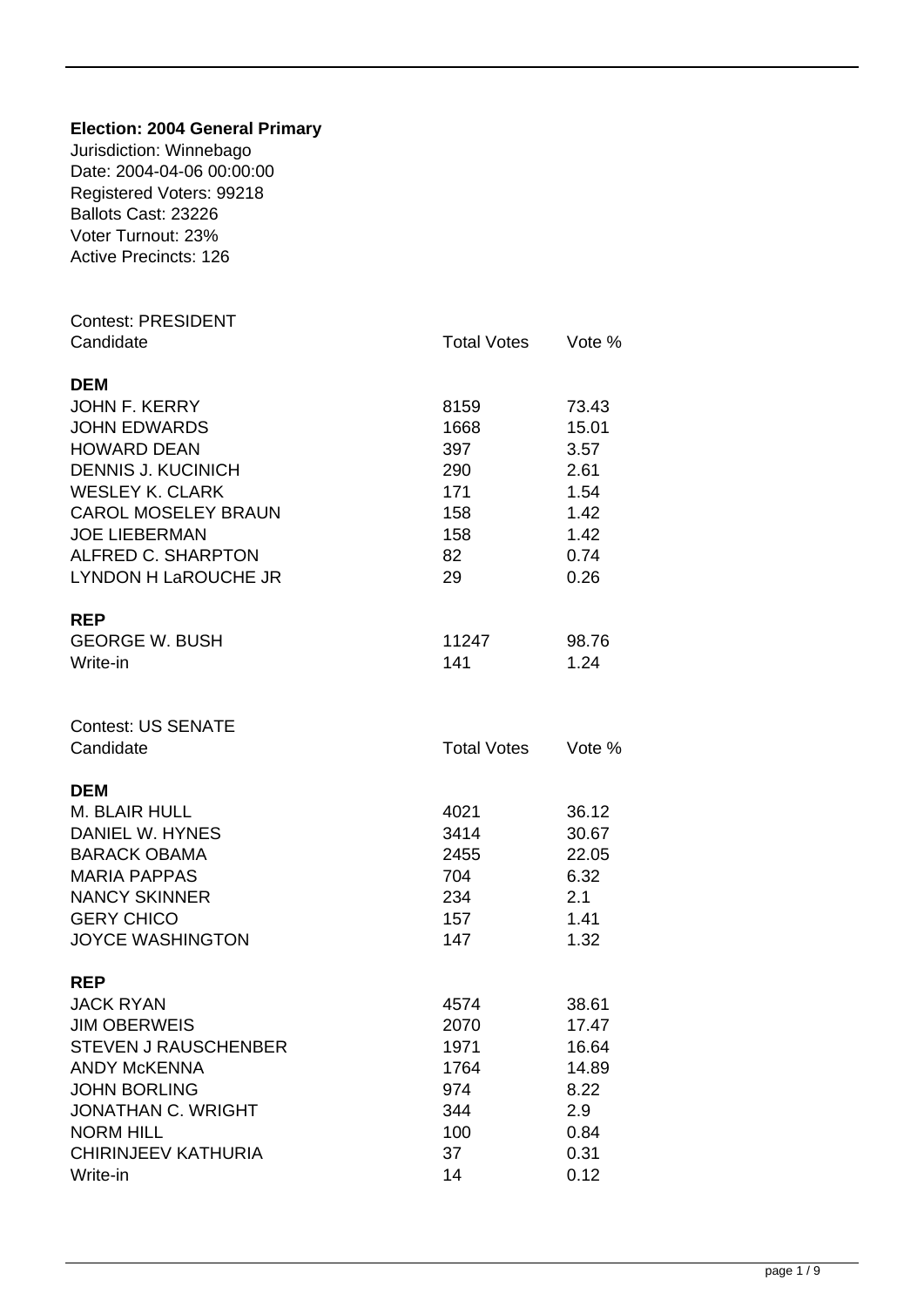| <b>Election: 2004 General Primary</b><br>Jurisdiction: Winnebago<br>Date: 2004-04-06 00:00:00<br>Registered Voters: 99218<br>Ballots Cast: 23226<br>Voter Turnout: 23%<br><b>Active Precincts: 126</b>                                     |                                                               |                                                                         |
|--------------------------------------------------------------------------------------------------------------------------------------------------------------------------------------------------------------------------------------------|---------------------------------------------------------------|-------------------------------------------------------------------------|
| <b>Contest: PRESIDENT</b><br>Candidate                                                                                                                                                                                                     | <b>Total Votes</b>                                            | Vote %                                                                  |
| <b>DEM</b><br><b>JOHN F. KERRY</b><br><b>JOHN EDWARDS</b><br><b>HOWARD DEAN</b><br><b>DENNIS J. KUCINICH</b><br><b>WESLEY K. CLARK</b><br><b>CAROL MOSELEY BRAUN</b><br><b>JOE LIEBERMAN</b><br>ALFRED C. SHARPTON<br>LYNDON H LaROUCHE JR | 8159<br>1668<br>397<br>290<br>171<br>158<br>158<br>82<br>29   | 73.43<br>15.01<br>3.57<br>2.61<br>1.54<br>1.42<br>1.42<br>0.74<br>0.26  |
| <b>REP</b><br><b>GEORGE W. BUSH</b><br>Write-in                                                                                                                                                                                            | 11247<br>141                                                  | 98.76<br>1.24                                                           |
| <b>Contest: US SENATE</b><br>Candidate                                                                                                                                                                                                     | <b>Total Votes</b>                                            | Vote %                                                                  |
| <b>DEM</b><br>M. BLAIR HULL<br>DANIEL W. HYNES<br><b>BARACK OBAMA</b><br><b>MARIA PAPPAS</b><br><b>NANCY SKINNER</b><br><b>GERY CHICO</b><br><b>JOYCE WASHINGTON</b>                                                                       | 4021<br>3414<br>2455<br>704<br>234<br>157<br>147              | 36.12<br>30.67<br>22.05<br>6.32<br>2.1<br>1.41<br>1.32                  |
| <b>REP</b><br><b>JACK RYAN</b><br><b>JIM OBERWEIS</b><br><b>STEVEN J RAUSCHENBER</b><br><b>ANDY McKENNA</b><br><b>JOHN BORLING</b><br><b>JONATHAN C. WRIGHT</b><br><b>NORM HILL</b><br>CHIRINJEEV KATHURIA<br>Write-in                     | 4574<br>2070<br>1971<br>1764<br>974<br>344<br>100<br>37<br>14 | 38.61<br>17.47<br>16.64<br>14.89<br>8.22<br>2.9<br>0.84<br>0.31<br>0.12 |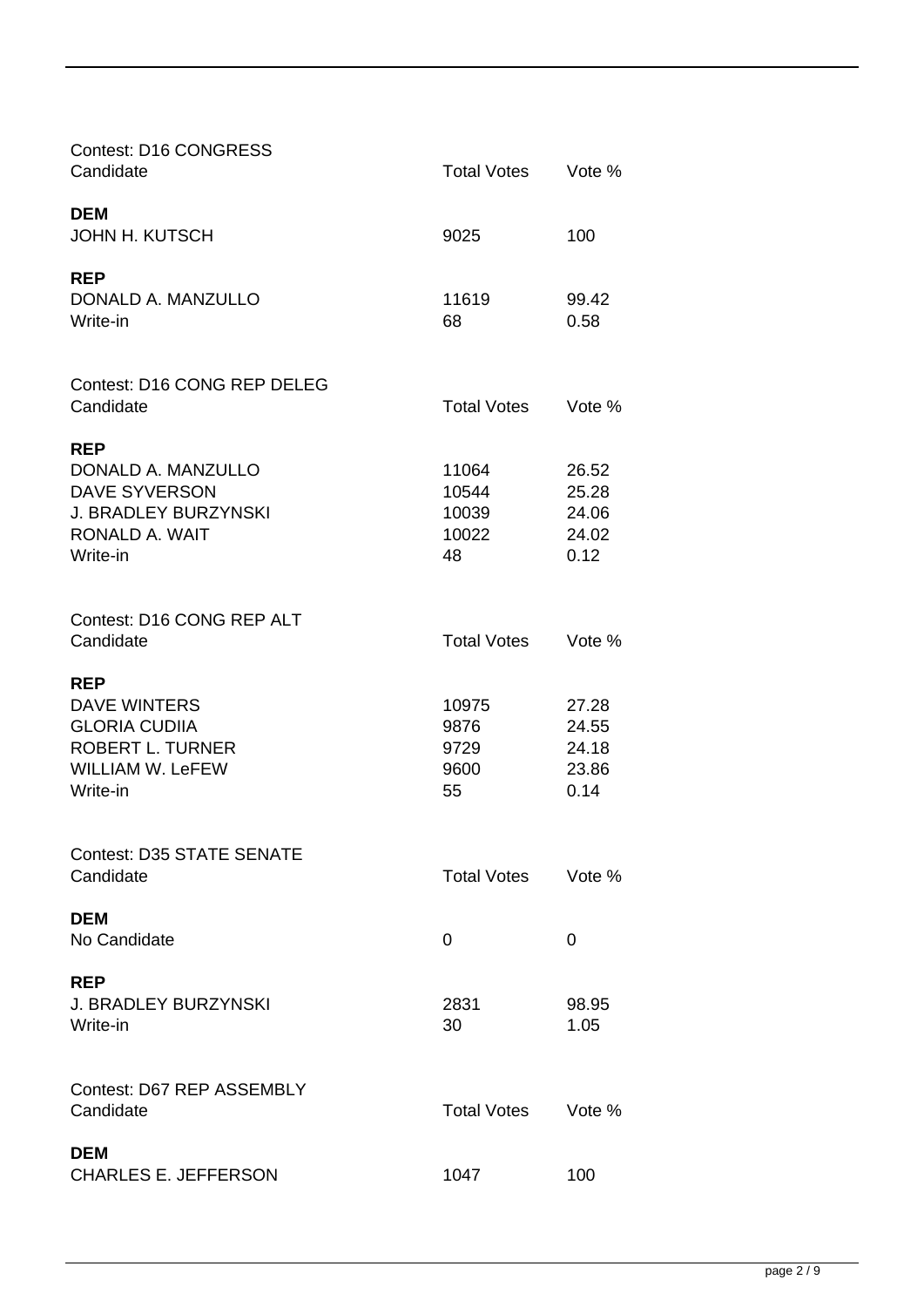| <b>Contest: D16 CONGRESS</b><br>Candidate                                                                                   | <b>Total Votes</b>                     | Vote %                                   |
|-----------------------------------------------------------------------------------------------------------------------------|----------------------------------------|------------------------------------------|
| <b>DEM</b><br><b>JOHN H. KUTSCH</b>                                                                                         | 9025                                   | 100                                      |
| <b>REP</b><br>DONALD A. MANZULLO<br>Write-in                                                                                | 11619<br>68                            | 99.42<br>0.58                            |
| <b>Contest: D16 CONG REP DELEG</b><br>Candidate                                                                             | <b>Total Votes</b>                     | Vote %                                   |
| <b>REP</b><br>DONALD A. MANZULLO<br><b>DAVE SYVERSON</b><br><b>J. BRADLEY BURZYNSKI</b><br>RONALD A. WAIT<br>Write-in       | 11064<br>10544<br>10039<br>10022<br>48 | 26.52<br>25.28<br>24.06<br>24.02<br>0.12 |
| Contest: D16 CONG REP ALT<br>Candidate                                                                                      | <b>Total Votes</b>                     | Vote %                                   |
| <b>REP</b><br><b>DAVE WINTERS</b><br><b>GLORIA CUDIIA</b><br><b>ROBERT L. TURNER</b><br><b>WILLIAM W. LeFEW</b><br>Write-in | 10975<br>9876<br>9729<br>9600<br>55    | 27.28<br>24.55<br>24.18<br>23.86<br>0.14 |
| <b>Contest: D35 STATE SENATE</b><br>Candidate                                                                               | <b>Total Votes</b>                     | Vote %                                   |
| <b>DEM</b><br>No Candidate                                                                                                  | 0                                      | 0                                        |
| <b>REP</b><br><b>J. BRADLEY BURZYNSKI</b><br>Write-in                                                                       | 2831<br>30                             | 98.95<br>1.05                            |
| Contest: D67 REP ASSEMBLY<br>Candidate                                                                                      | <b>Total Votes</b>                     | Vote %                                   |
| <b>DEM</b><br><b>CHARLES E. JEFFERSON</b>                                                                                   | 1047                                   | 100                                      |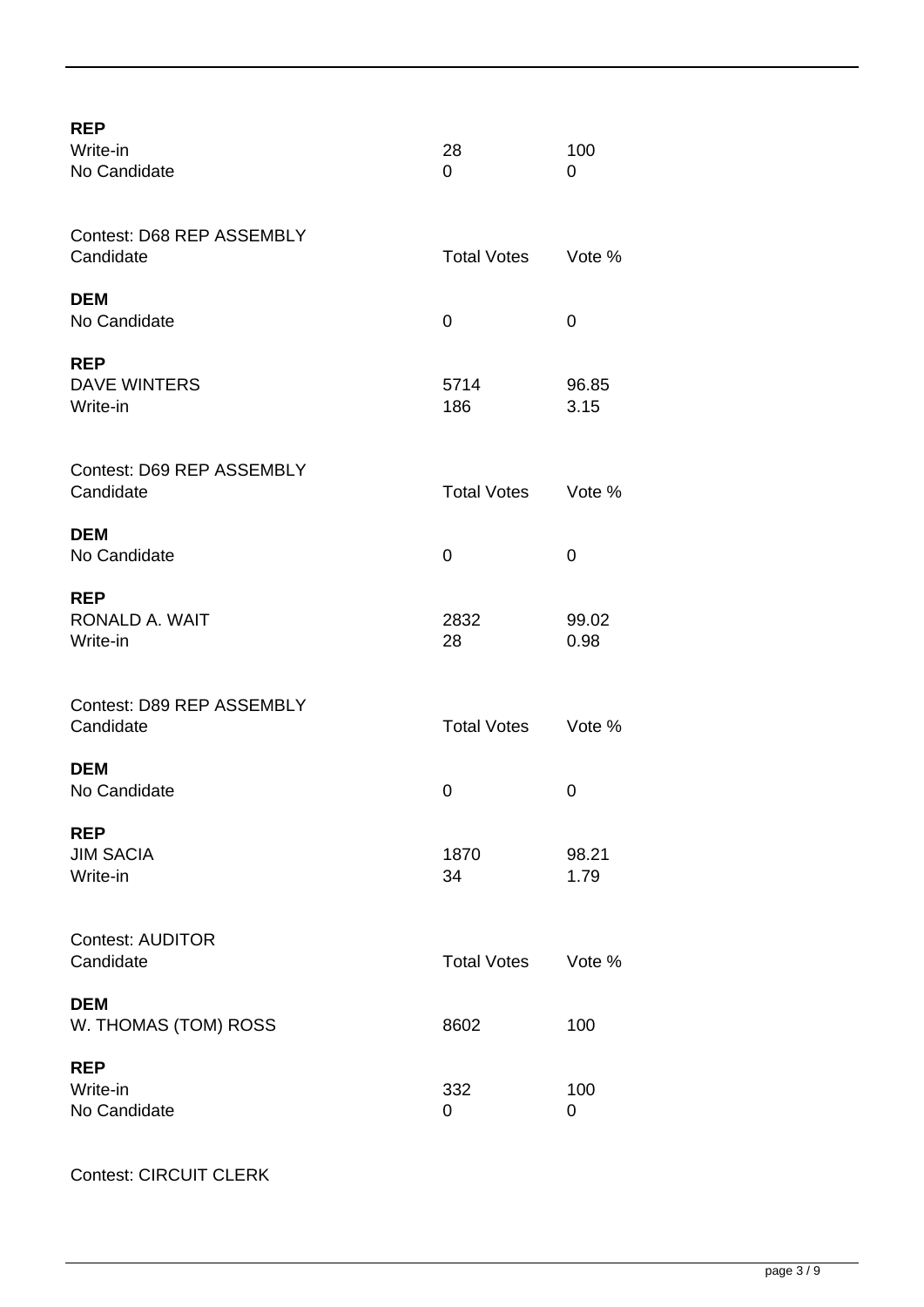| <b>REP</b><br>Write-in<br>No Candidate        | 28<br>0            | 100<br>0      |
|-----------------------------------------------|--------------------|---------------|
| Contest: D68 REP ASSEMBLY<br>Candidate        | <b>Total Votes</b> | Vote %        |
| <b>DEM</b><br>No Candidate                    | 0                  | 0             |
| <b>REP</b><br><b>DAVE WINTERS</b><br>Write-in | 5714<br>186        | 96.85<br>3.15 |
| Contest: D69 REP ASSEMBLY<br>Candidate        | <b>Total Votes</b> | Vote %        |
| <b>DEM</b><br>No Candidate                    | 0                  | 0             |
| <b>REP</b><br>RONALD A. WAIT<br>Write-in      | 2832<br>28         | 99.02<br>0.98 |
| Contest: D89 REP ASSEMBLY<br>Candidate        | <b>Total Votes</b> | Vote %        |
| <b>DEM</b><br>No Candidate                    | 0                  | 0             |
| <b>REP</b><br><b>JIM SACIA</b><br>Write-in    | 1870<br>34         | 98.21<br>1.79 |
| <b>Contest: AUDITOR</b><br>Candidate          | <b>Total Votes</b> | Vote %        |
| <b>DEM</b><br>W. THOMAS (TOM) ROSS            | 8602               | 100           |
| <b>REP</b><br>Write-in<br>No Candidate        | 332<br>0           | 100<br>0      |

Contest: CIRCUIT CLERK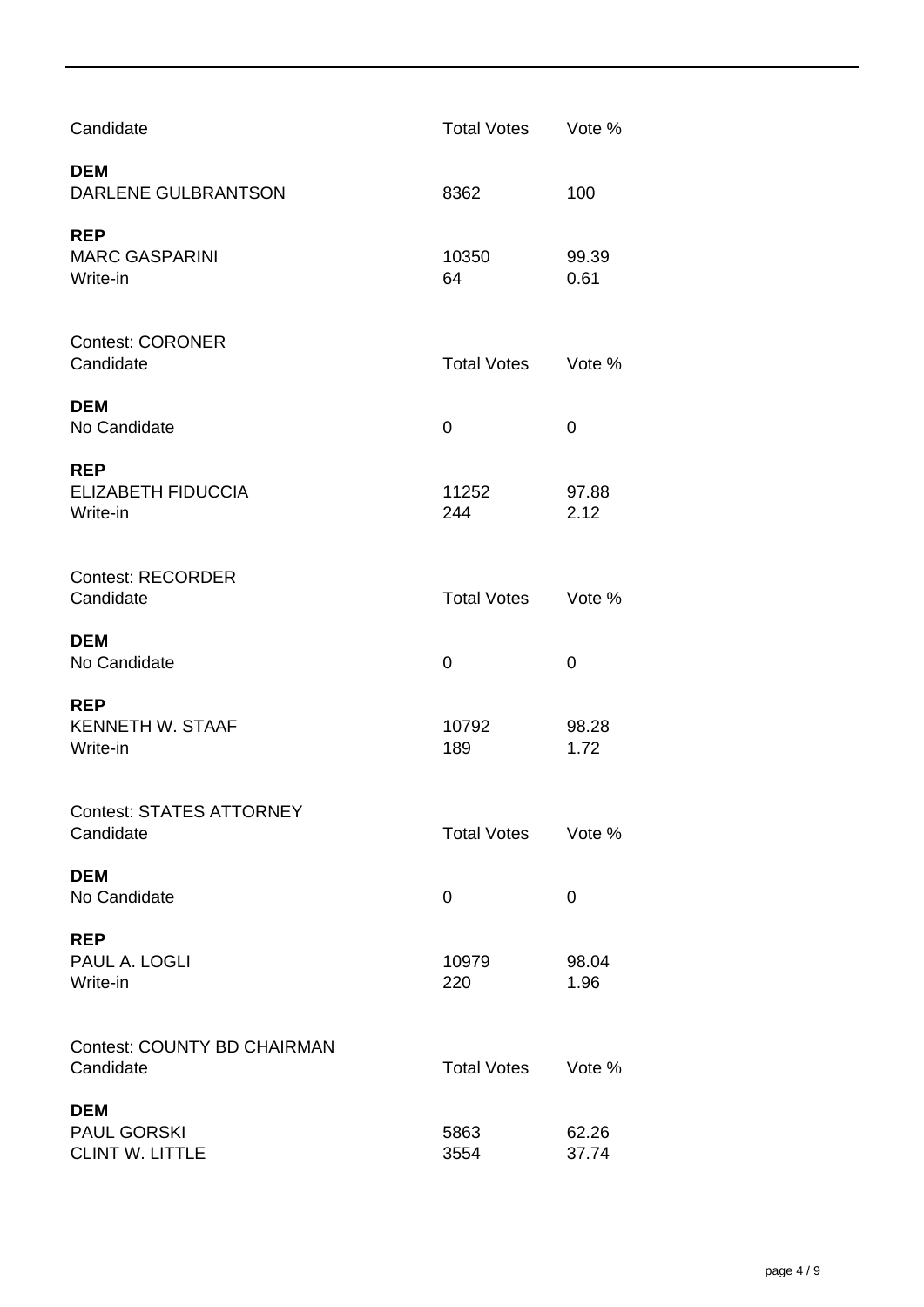| Candidate                                           | <b>Total Votes</b> | Vote %        |
|-----------------------------------------------------|--------------------|---------------|
| <b>DEM</b><br>DARLENE GULBRANTSON                   | 8362               | 100           |
| <b>REP</b><br><b>MARC GASPARINI</b><br>Write-in     | 10350<br>64        | 99.39<br>0.61 |
| <b>Contest: CORONER</b><br>Candidate                | <b>Total Votes</b> | Vote %        |
| <b>DEM</b><br>No Candidate                          | 0                  | 0             |
| <b>REP</b><br><b>ELIZABETH FIDUCCIA</b><br>Write-in | 11252<br>244       | 97.88<br>2.12 |
| <b>Contest: RECORDER</b><br>Candidate               | <b>Total Votes</b> | Vote %        |
|                                                     |                    |               |
| <b>DEM</b><br>No Candidate                          | 0                  | 0             |
| <b>REP</b><br><b>KENNETH W. STAAF</b><br>Write-in   | 10792<br>189       | 98.28<br>1.72 |
| <b>Contest: STATES ATTORNEY</b><br>Candidate        | <b>Total Votes</b> | Vote %        |
| <b>DEM</b><br>No Candidate                          | 0                  | 0             |
| <b>REP</b><br>PAUL A. LOGLI<br>Write-in             | 10979<br>220       | 98.04<br>1.96 |
| <b>Contest: COUNTY BD CHAIRMAN</b><br>Candidate     | <b>Total Votes</b> | Vote %        |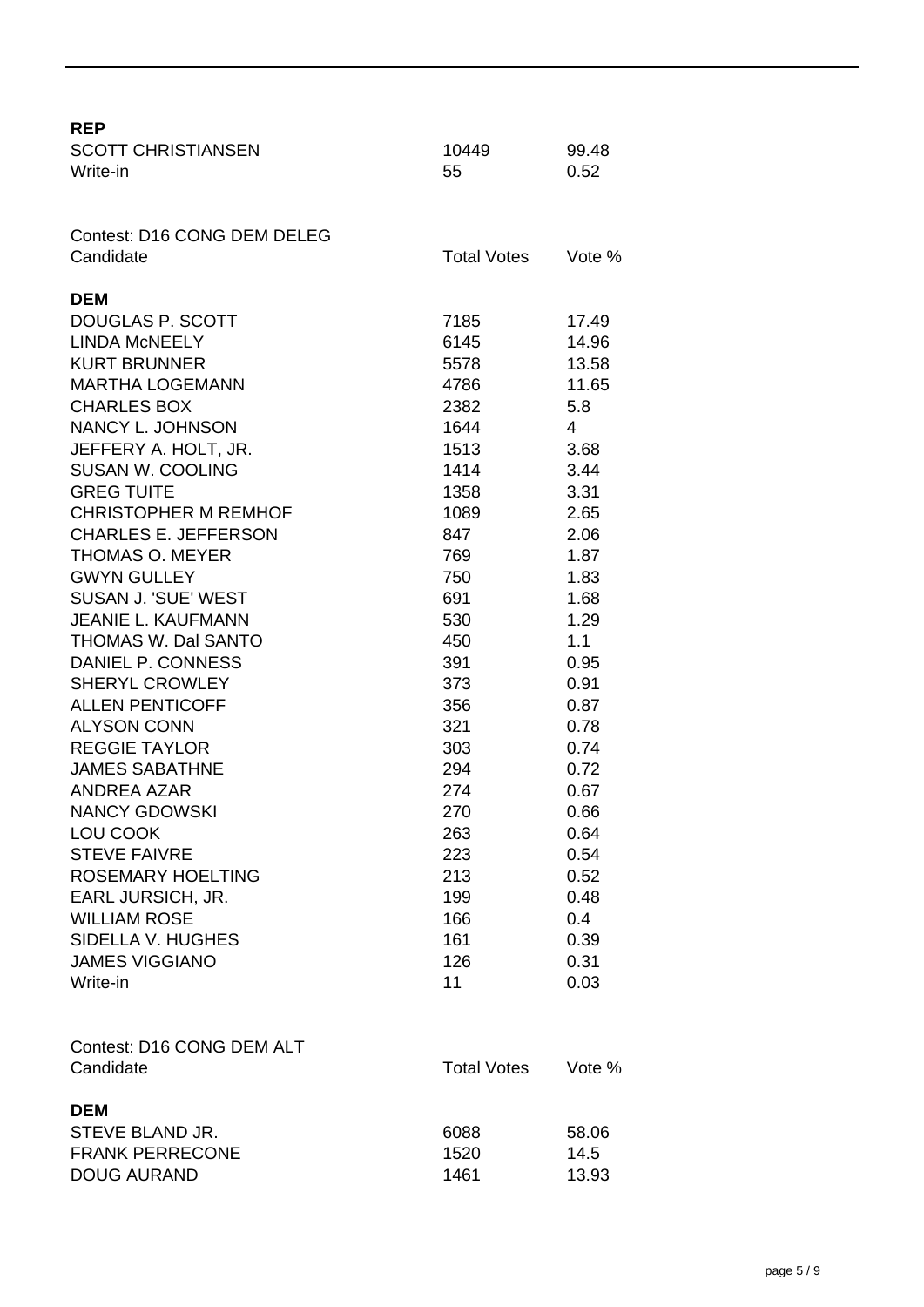| <b>REP</b>                     |                    |        |
|--------------------------------|--------------------|--------|
| <b>SCOTT CHRISTIANSEN</b>      | 10449              | 99.48  |
| Write-in                       | 55                 | 0.52   |
|                                |                    |        |
| Contest: D16 CONG DEM DELEG    |                    |        |
| Candidate                      | <b>Total Votes</b> | Vote % |
|                                |                    |        |
| <b>DEM</b><br>DOUGLAS P. SCOTT | 7185               | 17.49  |
| <b>LINDA MCNEELY</b>           | 6145               | 14.96  |
| <b>KURT BRUNNER</b>            | 5578               | 13.58  |
| <b>MARTHA LOGEMANN</b>         | 4786               | 11.65  |
| <b>CHARLES BOX</b>             | 2382               | 5.8    |
| <b>NANCY L. JOHNSON</b>        | 1644               | 4      |
| JEFFERY A. HOLT, JR.           | 1513               | 3.68   |
| <b>SUSAN W. COOLING</b>        | 1414               | 3.44   |
| <b>GREG TUITE</b>              | 1358               | 3.31   |
| <b>CHRISTOPHER M REMHOF</b>    | 1089               | 2.65   |
| <b>CHARLES E. JEFFERSON</b>    | 847                | 2.06   |
| <b>THOMAS O. MEYER</b>         | 769                | 1.87   |
| <b>GWYN GULLEY</b>             | 750                | 1.83   |
| SUSAN J. 'SUE' WEST            | 691                | 1.68   |
| <b>JEANIE L. KAUFMANN</b>      | 530                | 1.29   |
| THOMAS W. Dal SANTO            | 450                | 1.1    |
| DANIEL P. CONNESS              | 391                | 0.95   |
| <b>SHERYL CROWLEY</b>          | 373                | 0.91   |
| <b>ALLEN PENTICOFF</b>         | 356                | 0.87   |
| <b>ALYSON CONN</b>             | 321                | 0.78   |
| <b>REGGIE TAYLOR</b>           | 303                | 0.74   |
| <b>JAMES SABATHNE</b>          | 294                | 0.72   |
| <b>ANDREA AZAR</b>             | 274                | 0.67   |
| <b>NANCY GDOWSKI</b>           | 270                | 0.66   |
| LOU COOK                       | 263                | 0.64   |
| <b>STEVE FAIVRE</b>            | 223                | 0.54   |
| <b>ROSEMARY HOELTING</b>       | 213                | 0.52   |
| <b>EARL JURSICH, JR.</b>       | 199                | 0.48   |
| <b>WILLIAM ROSE</b>            | 166                | 0.4    |
| SIDELLA V. HUGHES              | 161                | 0.39   |
| <b>JAMES VIGGIANO</b>          | 126                | 0.31   |
| Write-in                       | 11                 | 0.03   |
|                                |                    |        |
| Contest: D16 CONG DEM ALT      |                    |        |
| Candidate                      | <b>Total Votes</b> | Vote % |
|                                |                    |        |
| <b>DEM</b>                     |                    |        |
| STEVE BLAND JR.                | 6088               | 58.06  |
| <b>FRANK PERRECONE</b>         | 1520               | 14.5   |
| <b>DOUG AURAND</b>             | 1461               | 13.93  |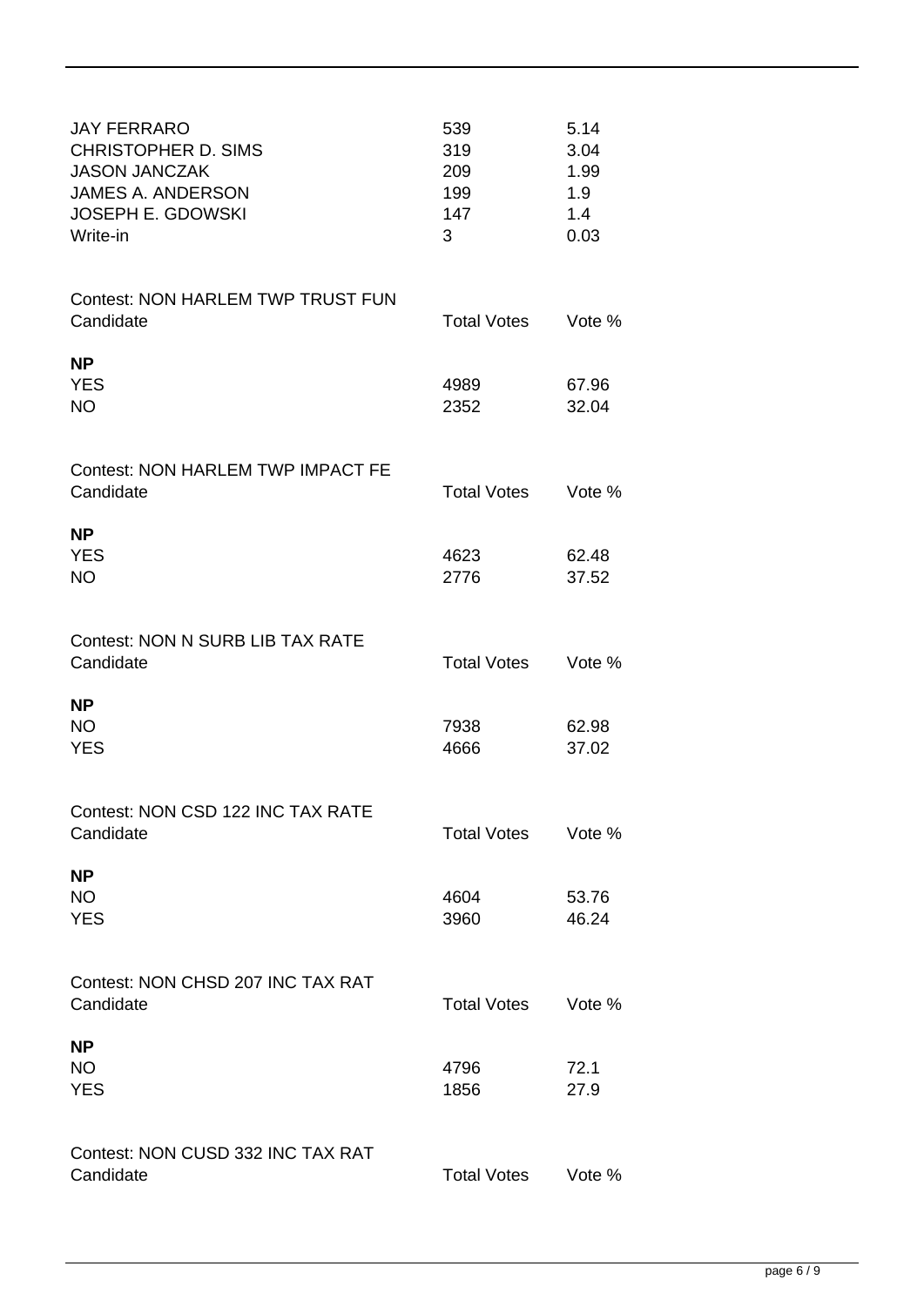| <b>JAY FERRARO</b><br><b>CHRISTOPHER D. SIMS</b><br><b>JASON JANCZAK</b><br><b>JAMES A. ANDERSON</b><br><b>JOSEPH E. GDOWSKI</b><br>Write-in | 539<br>319<br>209<br>199<br>147<br>3 | 5.14<br>3.04<br>1.99<br>1.9<br>1.4<br>0.03 |
|----------------------------------------------------------------------------------------------------------------------------------------------|--------------------------------------|--------------------------------------------|
| <b>Contest: NON HARLEM TWP TRUST FUN</b><br>Candidate                                                                                        | <b>Total Votes</b>                   | Vote %                                     |
| <b>NP</b><br><b>YES</b><br><b>NO</b>                                                                                                         | 4989<br>2352                         | 67.96<br>32.04                             |
| Contest: NON HARLEM TWP IMPACT FE<br>Candidate                                                                                               | <b>Total Votes</b>                   | Vote %                                     |
| <b>NP</b><br><b>YES</b><br><b>NO</b>                                                                                                         | 4623<br>2776                         | 62.48<br>37.52                             |
| <b>Contest: NON N SURB LIB TAX RATE</b><br>Candidate                                                                                         | <b>Total Votes</b>                   | Vote %                                     |
| <b>NP</b><br><b>NO</b><br><b>YES</b>                                                                                                         | 7938<br>4666                         | 62.98<br>37.02                             |
| Contest: NON CSD 122 INC TAX RATE<br>Candidate                                                                                               | <b>Total Votes</b>                   | Vote %                                     |
| <b>NP</b><br><b>NO</b><br><b>YES</b>                                                                                                         | 4604<br>3960                         | 53.76<br>46.24                             |
| Contest: NON CHSD 207 INC TAX RAT<br>Candidate                                                                                               | <b>Total Votes</b>                   | Vote %                                     |
| <b>NP</b><br><b>NO</b><br><b>YES</b>                                                                                                         | 4796<br>1856                         | 72.1<br>27.9                               |
| Contest: NON CUSD 332 INC TAX RAT<br>Candidate                                                                                               | <b>Total Votes</b>                   | Vote %                                     |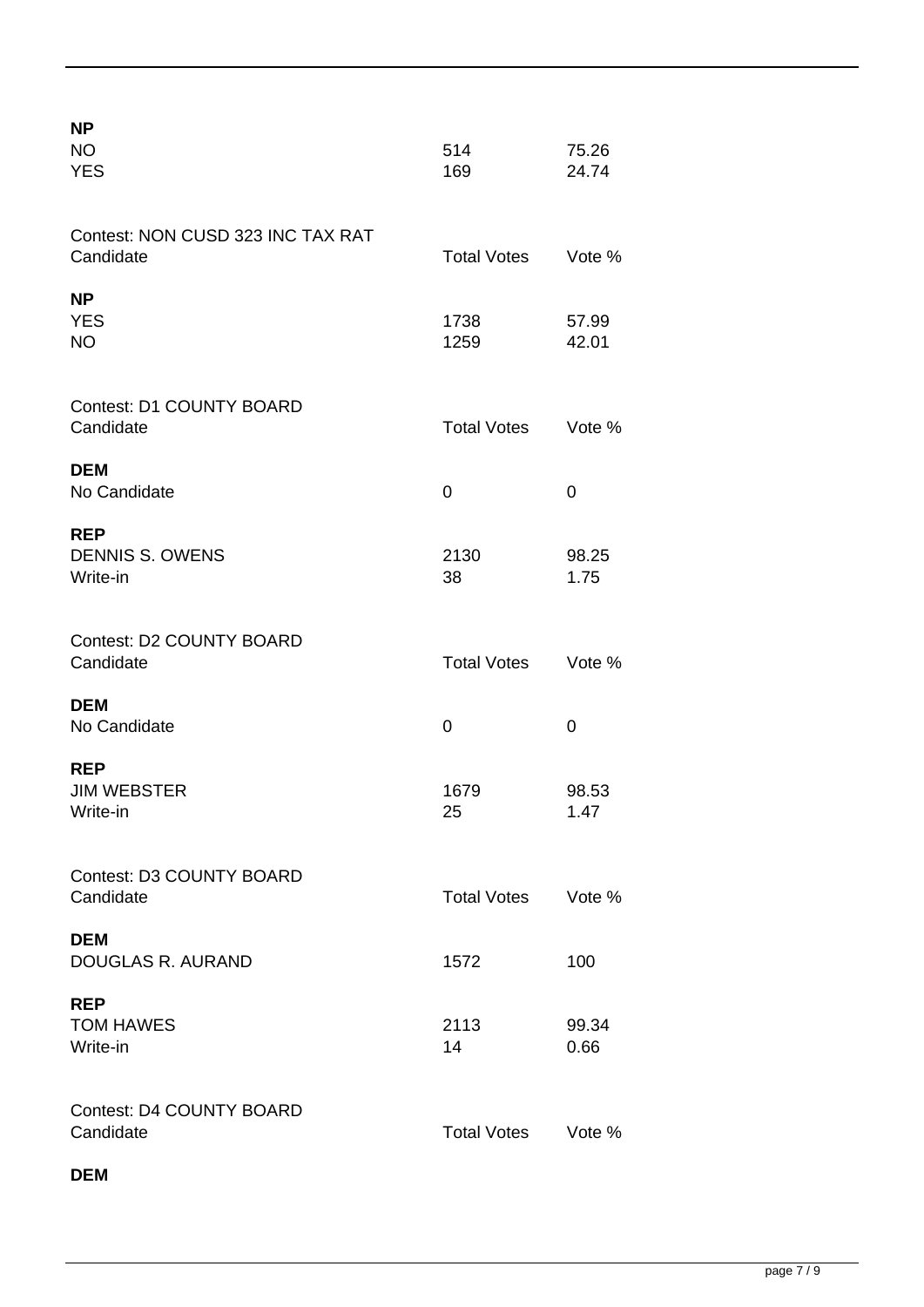| <b>NP</b><br><b>NO</b><br><b>YES</b>             | 514<br>169         | 75.26<br>24.74 |
|--------------------------------------------------|--------------------|----------------|
| Contest: NON CUSD 323 INC TAX RAT<br>Candidate   | <b>Total Votes</b> | Vote %         |
| <b>NP</b><br><b>YES</b><br><b>NO</b>             | 1738<br>1259       | 57.99<br>42.01 |
| <b>Contest: D1 COUNTY BOARD</b><br>Candidate     | <b>Total Votes</b> | Vote %         |
| <b>DEM</b><br>No Candidate                       | 0                  | 0              |
| <b>REP</b><br><b>DENNIS S. OWENS</b><br>Write-in | 2130<br>38         | 98.25<br>1.75  |
| <b>Contest: D2 COUNTY BOARD</b><br>Candidate     | <b>Total Votes</b> | Vote %         |
| <b>DEM</b><br>No Candidate                       | 0                  | 0              |
| <b>REP</b><br><b>JIM WEBSTER</b><br>Write-in     | 1679<br>25         | 98.53<br>1.47  |
| <b>Contest: D3 COUNTY BOARD</b><br>Candidate     | <b>Total Votes</b> | Vote %         |
| <b>DEM</b><br>DOUGLAS R. AURAND                  | 1572               | 100            |
| <b>REP</b><br><b>TOM HAWES</b><br>Write-in       | 2113<br>14         | 99.34<br>0.66  |
| <b>Contest: D4 COUNTY BOARD</b><br>Candidate     | <b>Total Votes</b> | Vote %         |

## **DEM**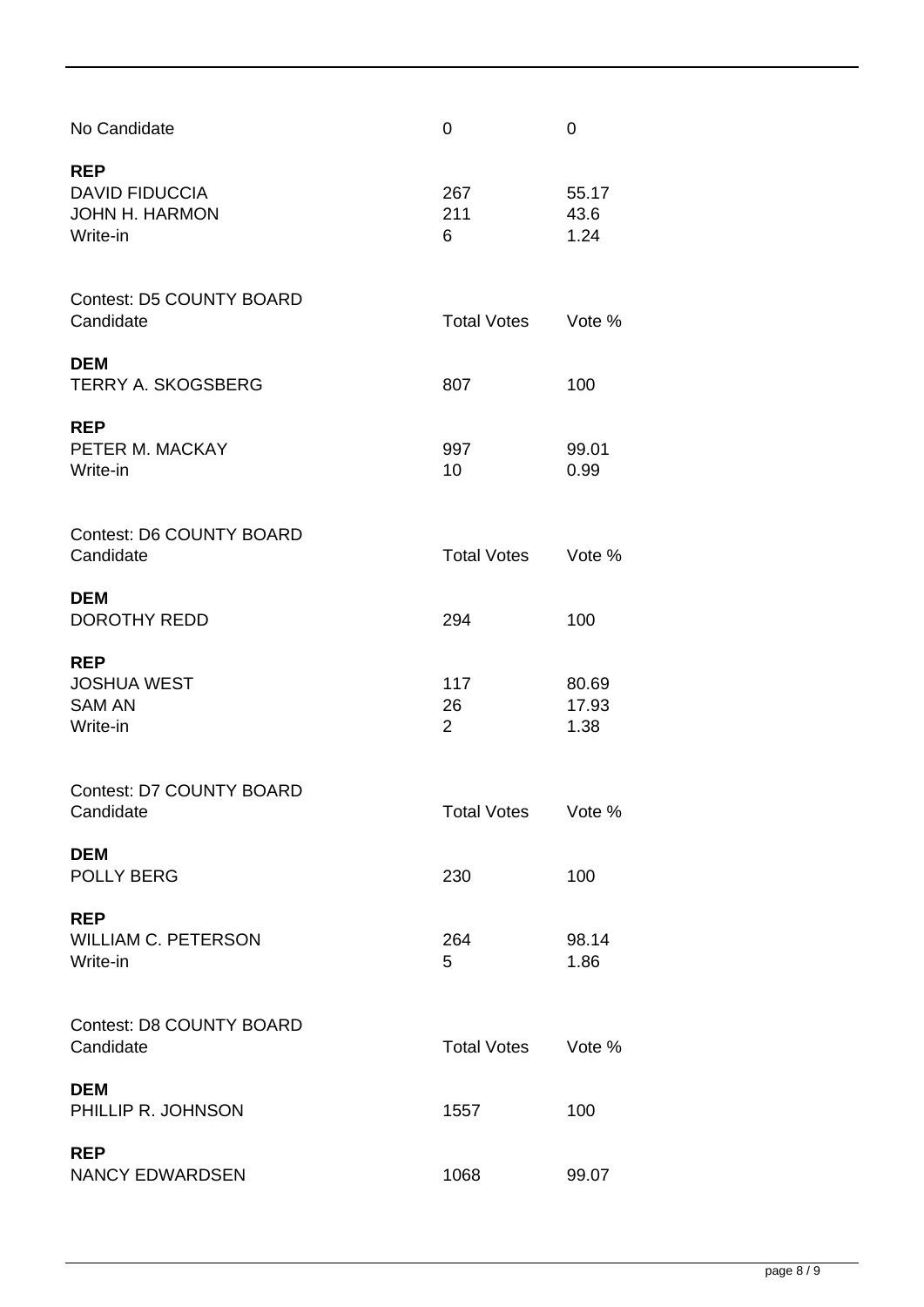| No Candidate                                                             | 0                           | 0                      |
|--------------------------------------------------------------------------|-----------------------------|------------------------|
| <b>REP</b><br><b>DAVID FIDUCCIA</b><br><b>JOHN H. HARMON</b><br>Write-in | 267<br>211<br>6             | 55.17<br>43.6<br>1.24  |
| <b>Contest: D5 COUNTY BOARD</b><br>Candidate                             | <b>Total Votes</b>          | Vote %                 |
| <b>DEM</b><br><b>TERRY A. SKOGSBERG</b>                                  | 807                         | 100                    |
| <b>REP</b><br>PETER M. MACKAY<br>Write-in                                | 997<br>10                   | 99.01<br>0.99          |
| <b>Contest: D6 COUNTY BOARD</b><br>Candidate                             | <b>Total Votes</b>          | Vote %                 |
| <b>DEM</b><br><b>DOROTHY REDD</b>                                        | 294                         | 100                    |
| <b>REP</b><br><b>JOSHUA WEST</b><br><b>SAM AN</b><br>Write-in            | 117<br>26<br>$\overline{2}$ | 80.69<br>17.93<br>1.38 |
| <b>Contest: D7 COUNTY BOARD</b><br>Candidate                             | <b>Total Votes</b>          | Vote %                 |
| <b>DEM</b><br><b>POLLY BERG</b>                                          | 230                         | 100                    |
| <b>REP</b><br><b>WILLIAM C. PETERSON</b><br>Write-in                     | 264<br>5                    | 98.14<br>1.86          |
| <b>Contest: D8 COUNTY BOARD</b><br>Candidate                             | <b>Total Votes</b>          | Vote %                 |
| <b>DEM</b><br>PHILLIP R. JOHNSON                                         | 1557                        | 100                    |
| <b>REP</b><br><b>NANCY EDWARDSEN</b>                                     | 1068                        | 99.07                  |